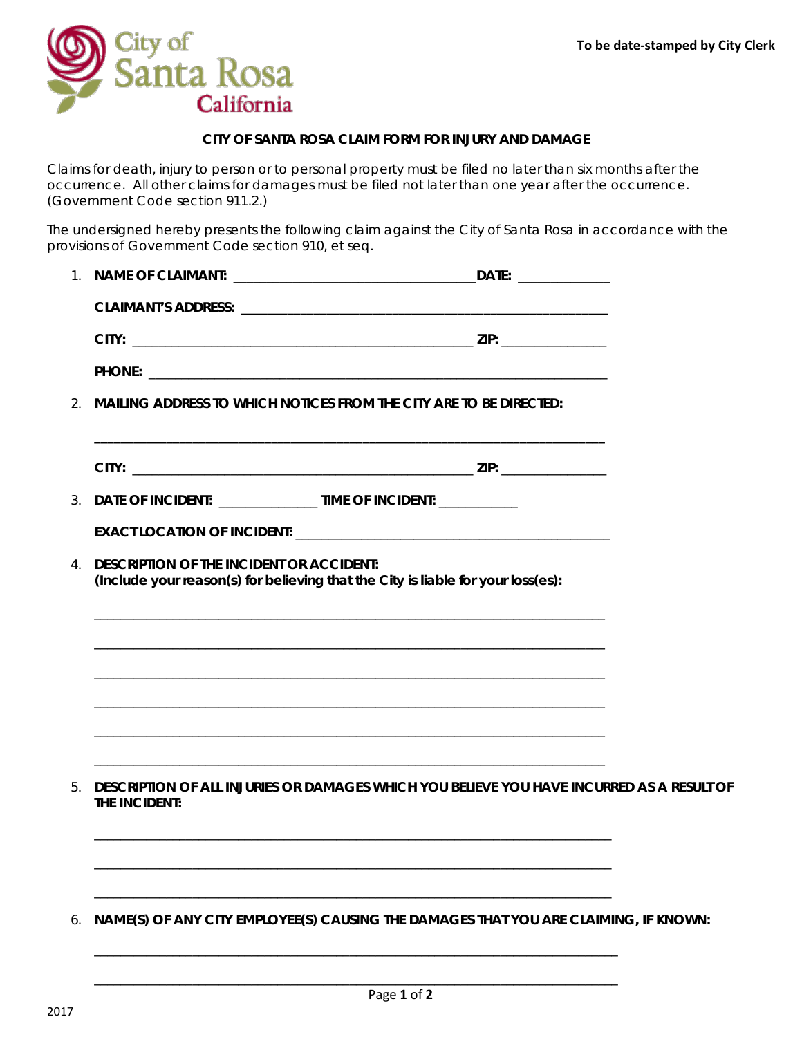

## **CITY OF SANTA ROSA CLAIM FORM FOR INJURY AND DAMAGE**

Claims for death, injury to person or to personal property must be filed no later than six months after the occurrence. All other claims for damages must be filed not later than one year after the occurrence. (Government Code section 911.2.)

The undersigned hereby presents the following claim against the City of Santa Rosa in accordance with the provisions of Government Code section 910, et seq.

|             |                                                                      | DATE: www.communications.com                                                              |  |
|-------------|----------------------------------------------------------------------|-------------------------------------------------------------------------------------------|--|
|             |                                                                      |                                                                                           |  |
|             |                                                                      |                                                                                           |  |
|             |                                                                      |                                                                                           |  |
|             |                                                                      | 2. MAILING ADDRESS TO WHICH NOTICES FROM THE CITY ARE TO BE DIRECTED:                     |  |
|             |                                                                      |                                                                                           |  |
|             |                                                                      |                                                                                           |  |
|             | 3. DATE OF INCIDENT: _________________ TIME OF INCIDENT: ___________ |                                                                                           |  |
|             |                                                                      |                                                                                           |  |
| $4_{\cdot}$ | <b>DESCRIPTION OF THE INCIDENT OR ACCIDENT:</b>                      | (Include your reason(s) for believing that the City is liable for your loss(es):          |  |
|             |                                                                      |                                                                                           |  |
|             |                                                                      |                                                                                           |  |
|             |                                                                      |                                                                                           |  |
|             |                                                                      |                                                                                           |  |
|             |                                                                      |                                                                                           |  |
|             |                                                                      |                                                                                           |  |
| 5.          | THE INCIDENT:                                                        | DESCRIPTION OF ALL INJURIES OR DAMAGES WHICH YOU BELIEVE YOU HAVE INCURRED AS A RESULT OF |  |
|             |                                                                      |                                                                                           |  |
|             |                                                                      |                                                                                           |  |
|             |                                                                      |                                                                                           |  |
| 6.          |                                                                      | NAME(S) OF ANY CITY EMPLOYEE(S) CAUSING THE DAMAGES THAT YOU ARE CLAIMING, IF KNOWN:      |  |
|             |                                                                      |                                                                                           |  |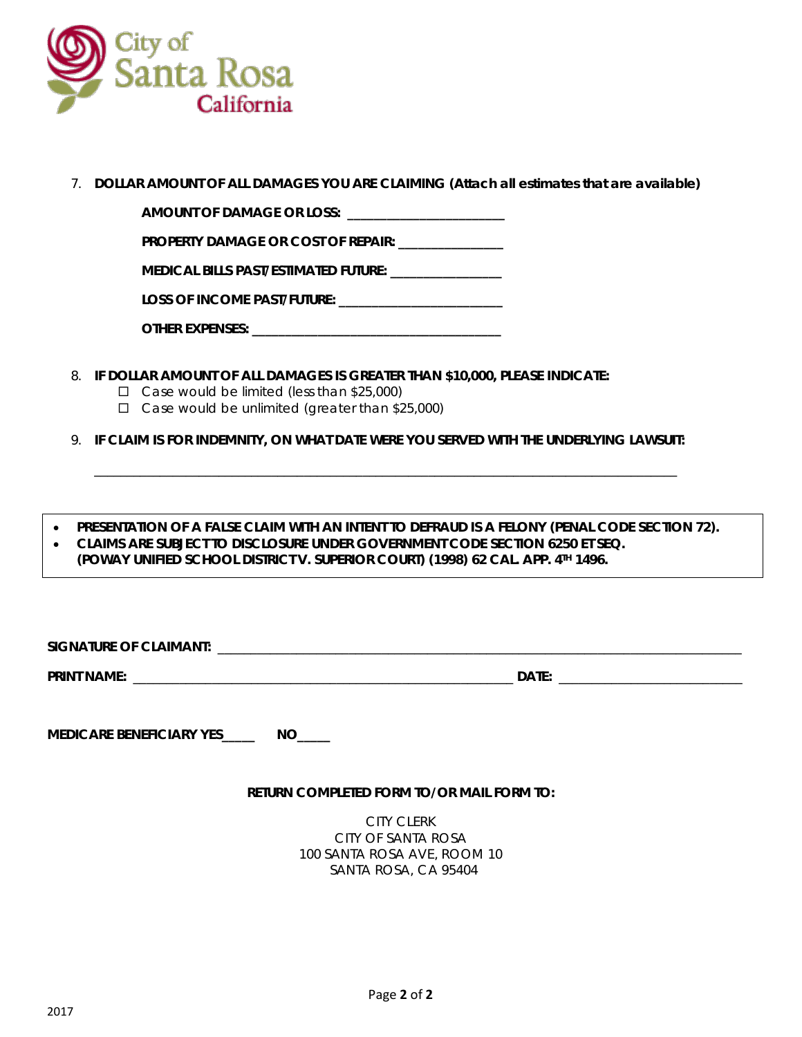

7. **DOLLAR AMOUNT OF ALL DAMAGES YOU ARE CLAIMING (Attach all estimates that are available)**

**AMOUNT OF DAMAGE OR LOSS: \_\_\_\_\_\_\_\_\_\_\_\_\_\_\_\_\_\_\_\_\_\_\_\_** 

**PROPERTY DAMAGE OR COST OF REPAIR: \_\_\_\_\_\_\_\_\_\_\_\_\_\_\_\_**

**MEDICAL BILLS PAST/ESTIMATED FUTURE: \_\_\_\_\_\_\_\_\_\_\_\_\_\_\_\_\_**

**LOSS OF INCOME PAST/FUTURE: \_\_\_\_\_\_\_\_\_\_\_\_\_\_\_\_\_\_\_\_\_\_\_\_\_**

| <b>OTHER EXPENSES:</b> |
|------------------------|
|------------------------|

- 8. **IF DOLLAR AMOUNT OF ALL DAMAGES IS GREATER THAN \$10,000, PLEASE INDICATE:**
	- $\Box$  Case would be limited (less than \$25,000)
	- $\Box$  Case would be unlimited (greater than \$25,000)

9. **IF CLAIM IS FOR INDEMNITY, ON WHAT DATE WERE YOU SERVED WITH THE UNDERLYING LAWSUIT:**

\_\_\_\_\_\_\_\_\_\_\_\_\_\_\_\_\_\_\_\_\_\_\_\_\_\_\_\_\_\_\_\_\_\_\_\_\_\_\_\_\_\_\_\_\_\_\_\_\_\_\_\_\_\_\_\_\_\_\_\_\_\_\_\_\_\_\_\_\_\_\_\_\_\_\_\_\_\_\_\_\_\_\_\_\_\_\_\_\_

• **PRESENTATION OF A FALSE CLAIM WITH AN INTENT TO DEFRAUD IS A FELONY (PENAL CODE SECTION 72).** • **CLAIMS ARE SUBJECT TO DISCLOSURE UNDER GOVERNMENT CODE SECTION 6250 ET SEQ. (POWAY UNIFIED SCHOOL DISTRICT V. SUPERIOR COURT) (1998) 62 CAL. APP. 4TH 1496.**

| <b>SIGNA</b><br>ЭF     |              |  |
|------------------------|--------------|--|
| <b>PRINT</b>           | $A + F$      |  |
| ا ۱۸<br>.<br>_________ | ה∆רי<br>---- |  |

**MEDICARE BENEFICIARY YES\_\_\_\_\_ NO\_\_\_\_\_**

## **RETURN COMPLETED FORM TO/OR MAIL FORM TO:**

CITY CLERK CITY OF SANTA ROSA 100 SANTA ROSA AVE, ROOM 10 SANTA ROSA, CA 95404